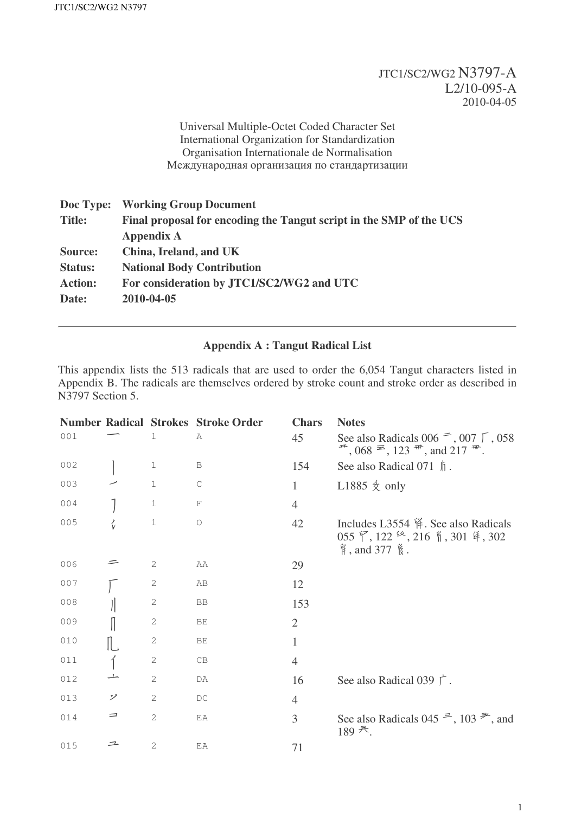## JTC1/SC2/WG2 N3797-A L2/10-095-A 2010-04-05

Universal Multiple-Octet Coded Character Set International Organization for Standardization Organisation Internationale de Normalisation Международная организация по стандартизации

| Doc Type:      | <b>Working Group Document</b>                                       |
|----------------|---------------------------------------------------------------------|
| <b>Title:</b>  | Final proposal for encoding the Tangut script in the SMP of the UCS |
|                | <b>Appendix A</b>                                                   |
| Source:        | China, Ireland, and UK                                              |
| <b>Status:</b> | <b>National Body Contribution</b>                                   |
| <b>Action:</b> | For consideration by JTC1/SC2/WG2 and UTC                           |
| Date:          | 2010-04-05                                                          |
|                |                                                                     |

## **Appendix A : Tangut Radical List**

This appendix lists the 513 radicals that are used to order the 6,054 Tangut characters listed in Appendix B. The radicals are themselves ordered by stroke count and stroke order as described in N3797 Section 5.

|     |         |   | <b>Number Radical Strokes Stroke Order</b> | <b>Chars</b>   | <b>Notes</b>                                                                                                                               |
|-----|---------|---|--------------------------------------------|----------------|--------------------------------------------------------------------------------------------------------------------------------------------|
| 001 |         | 1 | Α                                          | 45             | See also Radicals 006 $\equiv$ , 007 $\Gamma$ , 058<br>$\overline{a}$ , 068 $\overline{a}$ , 123 $\overline{a}$ , and 217 $\overline{a}$ . |
| 002 |         | 1 | B                                          | 154            | See also Radical 071 $\parallel$ .                                                                                                         |
| 003 |         | 1 | $\mathsf C$                                | $\mathbf{1}$   | L1885 $\&$ only                                                                                                                            |
| 004 |         | 1 | F                                          | $\overline{4}$ |                                                                                                                                            |
| 005 | $\zeta$ | 1 | $\circ$                                    | 42             | Includes L3554 徉. See also Radicals<br>055 了, 122 <sup>经</sup> , 216 1, 301 年, 302                                                         |
| 006 |         | 2 | AA                                         | 29             |                                                                                                                                            |
| 007 |         | 2 | AB                                         | 12             |                                                                                                                                            |
| 008 |         | 2 | BB                                         | 153            |                                                                                                                                            |
| 009 |         | 2 | BE                                         | $\overline{2}$ |                                                                                                                                            |
| 010 |         | 2 | ВE                                         | $\mathbf{1}$   |                                                                                                                                            |
| 011 |         | 2 | CB                                         | $\overline{4}$ |                                                                                                                                            |
| 012 |         | 2 | DA                                         | 16             | See also Radical 039 $\Gamma$ .                                                                                                            |
| 013 | ン       | 2 | DC                                         | $\overline{4}$ |                                                                                                                                            |
| 014 | ᆖ       | 2 | EA                                         | 3              | See also Radicals 045 $\stackrel{=}{\rightarrow}$ , 103 $\stackrel{=}{\rightarrow}$ , and<br>$189$ <sup>天</sup> .                          |
| 015 | 二       | 2 | EA                                         | 71             |                                                                                                                                            |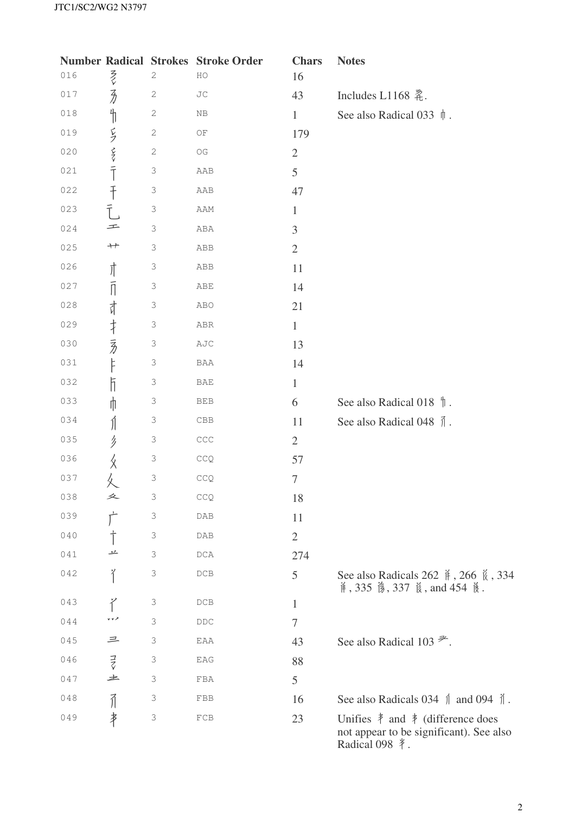|     |                         | <b>Number Radical Strokes</b> | <b>Stroke Order</b>              | <b>Chars</b>     | <b>Notes</b>                                                                                                                           |
|-----|-------------------------|-------------------------------|----------------------------------|------------------|----------------------------------------------------------------------------------------------------------------------------------------|
| 016 | そく                      | $\mathbf 2$                   | $_{\rm HO}$                      | 16               |                                                                                                                                        |
| 017 | $\overline{\lambda}$    | $\sqrt{2}$                    | $\rm JC$                         | 43               | Includes L1168 柔.                                                                                                                      |
| 018 | $\frac{\mu}{\sqrt{2}}$  | $\sqrt{2}$                    | $\rm NB$                         | $\mathbf{1}$     | See also Radical 033 $\parallel$ .                                                                                                     |
| 019 |                         | $\sqrt{2}$                    | $\mathbb{O}\mathcal{F}$          | 179              |                                                                                                                                        |
| 020 | ラマテ                     | $\sqrt{2}$                    | $\mathbb{O}\mathbb{G}$           | $\sqrt{2}$       |                                                                                                                                        |
| 021 |                         | $\mathfrak{Z}$                | ${\tt AAB}$                      | 5                |                                                                                                                                        |
| 022 | $\ddagger$              | $\mathfrak{Z}$                | AAB                              | 47               |                                                                                                                                        |
| 023 | $\overline{T}$          | $\mathfrak{Z}$                | AAM                              | $\mathbf{1}$     |                                                                                                                                        |
| 024 | 工                       | $\mathfrak I$                 | ${\tt ABA}$                      | 3                |                                                                                                                                        |
| 025 | $+$                     | $\mathfrak{Z}$                | ABB                              | $\mathbf{2}$     |                                                                                                                                        |
| 026 | 亣                       | $\mathfrak{Z}$                | ${\tt ABB}$                      | 11               |                                                                                                                                        |
| 027 | $\overline{\mathbb{I}}$ | $\mathfrak I$                 | $\mathbb{A}\mathbb{B}\mathbb{E}$ | 14               |                                                                                                                                        |
| 028 | 计                       | $\mathfrak{Z}$                | ABO                              | 21               |                                                                                                                                        |
| 029 | $\ddagger$              | $\mathfrak{Z}$                | ${\tt ABR}$                      | $\mathbf{1}$     |                                                                                                                                        |
| 030 | 豸                       | $\mathfrak I$                 | $\operatorname{AJC}$             | 13               |                                                                                                                                        |
| 031 | F                       | $\mathfrak{Z}$                | $\rm BAA$                        | 14               |                                                                                                                                        |
| 032 | ħ                       | $\mathfrak{Z}$                | $\ensuremath{\mathsf{BAE}}$      | $\mathbf{1}$     |                                                                                                                                        |
| 033 | ⋔                       | $\mathfrak I$                 | ${\tt BEB}$                      | 6                | See also Radical 018 $\parallel$ .                                                                                                     |
| 034 | Ń                       | $\mathfrak{Z}$                | ${\rm CBB}$                      | 11               | See also Radical 048 $\overrightarrow{\parallel}$ .                                                                                    |
| 035 | リ                       | $\mathfrak{Z}$                | $\mathbb{C}\mathbb{C}\mathbb{C}$ | $\overline{2}$   |                                                                                                                                        |
| 036 | ጷ                       | $\mathfrak I$                 | $\mathbb{C}\mathbb{C}\mathbb{Q}$ | 57               |                                                                                                                                        |
| 037 |                         | $\mathfrak I$                 | $\mathbb{C}\mathbb{C}\mathbb{Q}$ | $\boldsymbol{7}$ |                                                                                                                                        |
| 038 | 夂                       | 3                             | CCQ                              | 18               |                                                                                                                                        |
| 039 |                         | 3                             | DAB                              | 11               |                                                                                                                                        |
| 040 |                         | 3                             | DAB                              | $\overline{2}$   |                                                                                                                                        |
| 041 | 卫                       | 3                             | DCA                              | 274              |                                                                                                                                        |
| 042 | ĭ                       | 3                             | $DCB$                            | 5                | See also Radicals 262 $\frac{3}{11}$ , 266 $\frac{7}{10}$ , 334<br>并, 335 <i>f</i> , 337 <b>f</b> , and 454 <b>[</b> Å.                |
| 043 | ぞ                       | 3                             | DCB                              | $\mathbf{1}$     |                                                                                                                                        |
| 044 |                         | $\mathfrak{Z}$                | DDC                              | $\tau$           |                                                                                                                                        |
| 045 | 三                       | 3                             | EAA                              | 43               | See also Radical 103 $\overline{\mathscr{P}}$ .                                                                                        |
| 046 | $\vec{z}$               | 3                             | EAG                              | 88               |                                                                                                                                        |
| 047 | 土                       | 3                             | FBA                              | 5                |                                                                                                                                        |
| 048 | $\vec{1}$               | 3                             | FBB                              | 16               | See also Radicals 034 $\parallel$ and 094 $\parallel$ .                                                                                |
| 049 | 串                       | 3                             | ${\rm FCB}$                      | 23               | Unifies $\frac{1}{\epsilon}$ and $\frac{1}{\epsilon}$ (difference does<br>not appear to be significant). See also<br>Radical 098 $*$ . |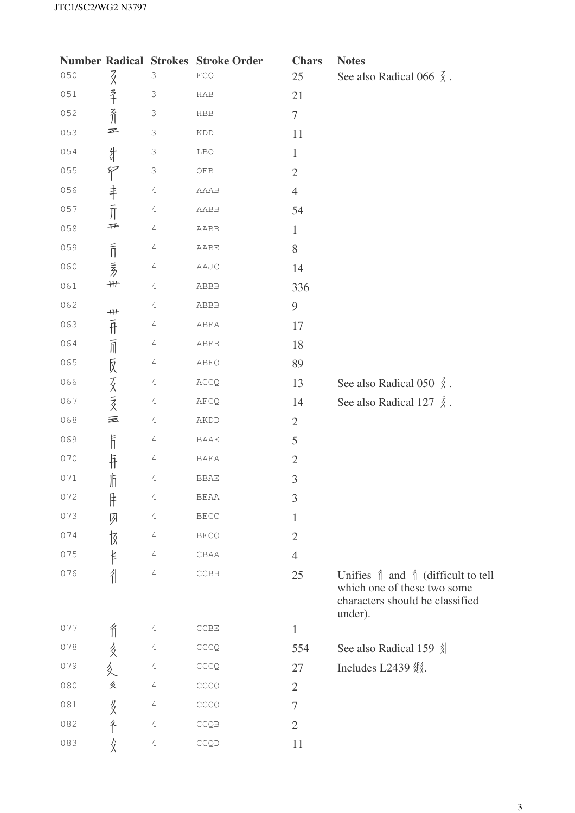|         |                           |                           | <b>Number Radical Strokes Stroke Order</b> | <b>Chars</b>   | <b>Notes</b>                                                                                                                        |
|---------|---------------------------|---------------------------|--------------------------------------------|----------------|-------------------------------------------------------------------------------------------------------------------------------------|
| 050     | $\vec{\chi}$              | 3                         | $\mathop{\rm FCQ}\nolimits$                | 25             | See also Radical 066 $\overline{\chi}$ .                                                                                            |
| $051\,$ | $rac{3}{4}$               | $\ensuremath{\mathsf{3}}$ | HAB                                        | 21             |                                                                                                                                     |
| 052     | 乔                         | $\Im$                     | HBB                                        | $\tau$         |                                                                                                                                     |
| 053     | Z                         | $\ensuremath{\mathsf{3}}$ | KDD                                        | 11             |                                                                                                                                     |
| 054     | 計                         | $\ensuremath{\mathsf{3}}$ | LBO                                        | $\mathbf{1}$   |                                                                                                                                     |
| 055     | $\widetilde{\mathcal{T}}$ | $\mathfrak I$             | ${\mathsf{OFB}}$                           | $\overline{2}$ |                                                                                                                                     |
| 056     |                           | 4                         | AAAB                                       | $\overline{4}$ |                                                                                                                                     |
| 057     | 丰亓                        | 4                         | AABB                                       | 54             |                                                                                                                                     |
| 058     | 开                         | $\sqrt{4}$                | AABB                                       | $\mathbf{1}$   |                                                                                                                                     |
| 059     | $\bar{1}$                 | 4                         | AABE                                       | $8\,$          |                                                                                                                                     |
| 060     | ラカ                        | 4                         | AAJC                                       | 14             |                                                                                                                                     |
| 061     | $\!+\!$                   | 4                         | ABBB                                       | 336            |                                                                                                                                     |
| 062     |                           | 4                         | ABBB                                       | 9              |                                                                                                                                     |
| 063     |                           | 4                         | ABEA                                       | 17             |                                                                                                                                     |
| 064     | #111 1                    | 4                         | ABEB                                       | 18             |                                                                                                                                     |
| 065     |                           | 4                         | ABFQ                                       | 89             |                                                                                                                                     |
| 066     | 反交亥                       | 4                         | $\text{ACCQ}$                              | 13             | See also Radical 050 $\overline{\lambda}$ .                                                                                         |
| 067     |                           | 4                         | $\verb+AFCQ+$                              | 14             | See also Radical 127 $\bar{\tilde{\chi}}$ .                                                                                         |
| 068     | 亖                         | 4                         | AKDD                                       | $\overline{2}$ |                                                                                                                                     |
| 069     | $\overline{\mathbb{F}}$   | 4                         | BAAE                                       | 5              |                                                                                                                                     |
| 070     | $\dagger$                 | 4                         | BAEA                                       | $\sqrt{2}$     |                                                                                                                                     |
| 071     | 师                         | 4                         | <b>BBAE</b>                                | $\mathfrak{Z}$ |                                                                                                                                     |
| 072     | 厈                         | 4                         | <b>BEAA</b>                                | $\mathfrak{Z}$ |                                                                                                                                     |
| 073     | 夙                         | 4                         | <b>BECC</b>                                | 1              |                                                                                                                                     |
| 074     | 忮                         | 4                         | <b>BFCQ</b>                                | $\overline{2}$ |                                                                                                                                     |
| 075     | ŧ                         | 4                         | CBAA                                       | $\overline{4}$ |                                                                                                                                     |
| 076     | 彳                         | $\!4\!$                   | $\ensuremath{\mathsf{CCBB}}$               | 25             | Unifies $\parallel$ and $\parallel$ (difficult to tell<br>which one of these two some<br>characters should be classified<br>under). |
| 077     | Î                         | 4                         | CCBE                                       | $\mathbf{1}$   |                                                                                                                                     |
| 078     |                           | 4                         | CCCQ                                       | 554            | See also Radical 159 《                                                                                                              |
| 079     | 多久                        | $\sqrt{4}$                | CCCQ                                       | 27             | Includes L2439 姚.                                                                                                                   |
| 080     | 炙                         | $\sqrt{4}$                | $\mathsf{CCCQ}$                            | $\overline{2}$ |                                                                                                                                     |
| 081     | $\frac{\sqrt{2}}{2}$      | 4                         | CCCQ                                       | 7              |                                                                                                                                     |
| 082     | 冬                         | $\sqrt{4}$                | CCQB                                       | $\overline{2}$ |                                                                                                                                     |
| 083     |                           | $\sqrt{4}$                | CCQD                                       | 11             |                                                                                                                                     |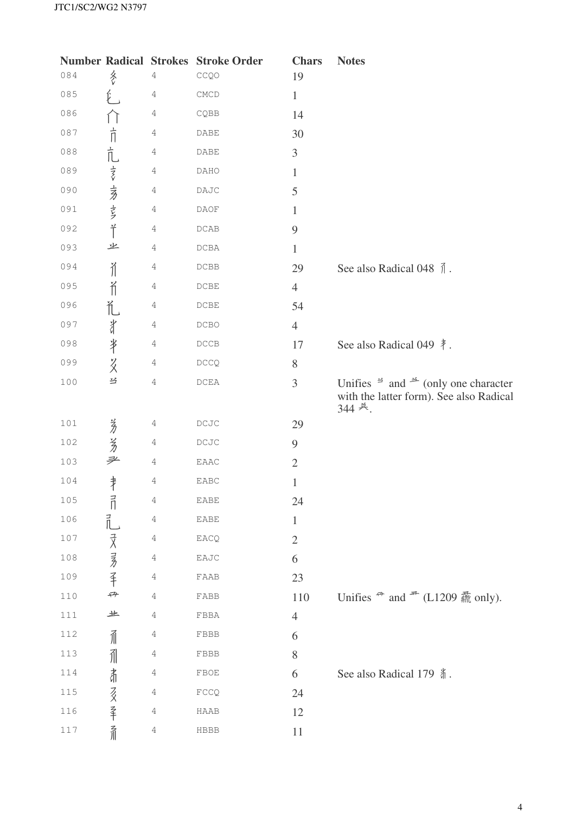|           |                       | <b>Number Radical Strokes</b> | <b>Stroke Order</b>          | <b>Chars</b>   | <b>Notes</b>                                                                                                                   |
|-----------|-----------------------|-------------------------------|------------------------------|----------------|--------------------------------------------------------------------------------------------------------------------------------|
| 084       | 冬                     | 4                             | CCQO                         | 19             |                                                                                                                                |
| 085       |                       | 4                             | $\ensuremath{\mathrm{CMCD}}$ | $\mathbf{1}$   |                                                                                                                                |
| 086       |                       | 4                             | CQBB                         | 14             |                                                                                                                                |
| 087       | 亓                     | 4                             | DABE                         | 30             |                                                                                                                                |
| 088       |                       | 4                             | DABE                         | $\mathfrak{Z}$ |                                                                                                                                |
| 089       | 亢麦麦                   | 4                             | DAHO                         | $\mathbf{1}$   |                                                                                                                                |
| 090       |                       | 4                             | $\mathsf{DAJC}$              | 5              |                                                                                                                                |
| 091       |                       | 4                             | DAOF                         | 1              |                                                                                                                                |
| 092       | $\H$                  | 4                             | $\mathop{\sf DCAB}\nolimits$ | 9              |                                                                                                                                |
| 093       | 业                     | 4                             | DCBA                         | $\mathbf{1}$   |                                                                                                                                |
| 094       | $\tilde{\mathcal{N}}$ | 4                             | $\mathop{\rm DCBB}\nolimits$ | 29             | See also Radical 048 $\bar{\uparrow}$ .                                                                                        |
| 095       | Ĭ                     | 4                             | $\ensuremath{\mathsf{DCBE}}$ | $\overline{4}$ |                                                                                                                                |
| 096       | 汇                     | 4                             | $\operatorname{DCBE}$        | 54             |                                                                                                                                |
| 097       | 計                     | 4                             | DCBO                         | $\overline{4}$ |                                                                                                                                |
| 098       | $\frac{1}{3}$         | 4                             | $_{\rm DCCB}$                | 17             | See also Radical 049 $\ddagger$ .                                                                                              |
| 099       | $\frac{2}{3}$         | $\overline{4}$                | DCCQ                         | $8\,$          |                                                                                                                                |
| 100       | 兰                     | $\overline{4}$                | $\mathop{\rm DCEA}\nolimits$ | 3              | Unifies $\frac{3}{2}$ and $\frac{3}{2}$ (only one character<br>with the latter form). See also Radical<br>344 美.               |
| $101$     |                       | 4                             | $_{\rm DCdC}$                | 29             |                                                                                                                                |
| 102       | 芳芳                    | 4                             | $_{\rm DCdC}$                | 9              |                                                                                                                                |
| $103$     | 耂                     | 4                             | ${\tt EAAC}$                 | $\mathfrak{2}$ |                                                                                                                                |
| 104       | 肀                     | 4                             | EABC                         | $\mathbf{1}$   |                                                                                                                                |
| 105       | $\vec{a}$             | 4                             | ${\tt EABE}$                 | 24             |                                                                                                                                |
| 106       | $\vec{L}$             | 4                             | EABE                         | $\mathbf{1}$   |                                                                                                                                |
| 107       |                       | 4                             | EACQ                         | $\mathfrak{2}$ |                                                                                                                                |
| 108       | 灵灵手                   | 4                             | EAJC                         | 6              |                                                                                                                                |
| 109       |                       | 4                             | FAAB                         | 23             |                                                                                                                                |
| 110       | 砰                     | 4                             | ${\tt FABB}$                 | 110            | Unifies $\stackrel{\Rightarrow}{\cdot}$ and $\stackrel{\Rightarrow}{\cdot}$ (L1209 $\stackrel{\Rightarrow}{\mathbb{R}}$ only). |
| $1\,1\,1$ | 业                     | 4                             | ${\tt FBBA}$                 | $\overline{4}$ |                                                                                                                                |
| 112       | 而                     | 4                             | FBBB                         | 6              |                                                                                                                                |
| 113       | 了                     | 4                             | ${\tt FBB}$                  | 8              |                                                                                                                                |
| 114       | 肃                     | 4                             | FBOE                         | 6              | See also Radical 179 #.                                                                                                        |
| 115       |                       | 4                             | FCCQ                         | 24             |                                                                                                                                |
| 116       | 138 辛                 | 4                             | HAAB                         | 12             |                                                                                                                                |
| $117$     | 一了川                   | 4                             | HBBB                         | 11             |                                                                                                                                |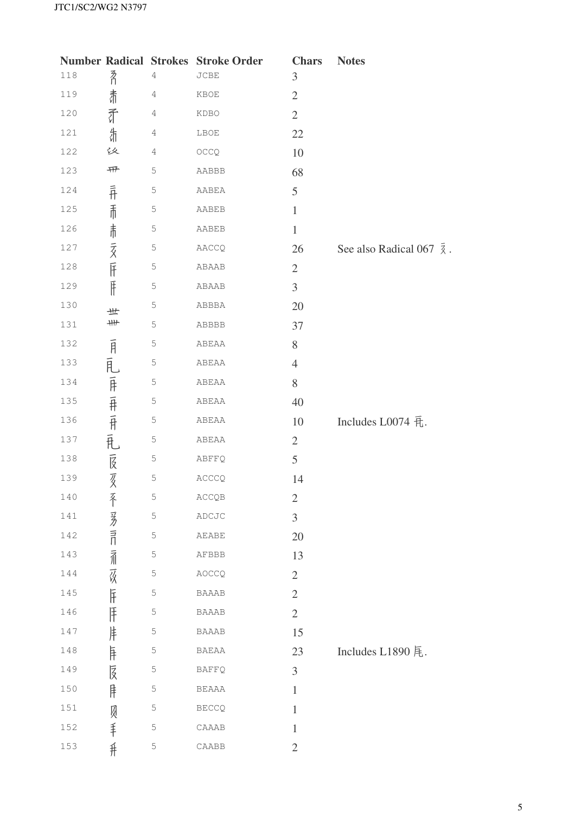|         |                  |             | <b>Number Radical Strokes Stroke Order</b> | <b>Chars</b>   | <b>Notes</b>                           |
|---------|------------------|-------------|--------------------------------------------|----------------|----------------------------------------|
| 118     | 矛                | 4           | $_{\rm JCBE}$                              | $\mathfrak{Z}$ |                                        |
| 119     | 肃                | $\sqrt{4}$  | KBOE                                       | $\mathbf{2}$   |                                        |
| 120     | 矛                | 4           | KDBO                                       | $\sqrt{2}$     |                                        |
| 121     | 什                | $\sqrt{4}$  | LBOE                                       | 22             |                                        |
| 122     | 议                | $\sqrt{4}$  | OCCQ                                       | 10             |                                        |
| 123     | 开                | 5           | AABBB                                      | 68             |                                        |
| 124     | $\overline{f}$   | $\mathsf S$ | AABEA                                      | 5              |                                        |
| 125     |                  | $\mathbb 5$ | AABEB                                      | $\,1$          |                                        |
| 126     |                  | 5           | AABEB                                      | $\mathbf{1}$   |                                        |
| 127     | 市市贡仔             | $\mathbb 5$ | AACCQ                                      | 26             | See also Radical 067 $\bar{\lambda}$ . |
| 128     |                  | 5           | ABAAB                                      | $\mathfrak{2}$ |                                        |
| 129     | $\mathbb{F}$     | 5           | ABAAB                                      | $\overline{3}$ |                                        |
| 130     | 世                | $\mathbb S$ | ABBBA                                      | 20             |                                        |
| 131     | $+$              | $\mathbb 5$ | ABBBB                                      | 37             |                                        |
| 132     |                  | 5           | ABEAA                                      | $8\,$          |                                        |
| 133     |                  | $\mathbb S$ | ABEAA                                      | $\overline{4}$ |                                        |
| 134     |                  | $\mathsf S$ | ABEAA                                      | 8              |                                        |
| 135     |                  | $\mathsf S$ | ABEAA                                      | 40             |                                        |
| 136     | 1月,乱,屏,井,开,乱,艮,亥 | $\mathsf S$ | ABEAA                                      | 10             | Includes L0074 五.                      |
| 137     |                  | $\mathsf S$ | ABEAA                                      | $\overline{2}$ |                                        |
| 138     |                  | $\mathsf S$ | ABFFQ                                      | 5              |                                        |
| 139     |                  | 5           | ACCCQ                                      | 14             |                                        |
| 140     | 不                | $\mathbb S$ | ACCQB                                      | $\mathbf{2}$   |                                        |
| 141     |                  | 5           | ADCJC                                      | 3              |                                        |
| 142     | 多記論孩斥            | 5           | AEABE                                      | 20             |                                        |
| 143     |                  | $\mathbb 5$ | AFBBB                                      | 13             |                                        |
| 144     |                  | 5           | AOCCQ                                      | $\sqrt{2}$     |                                        |
| 145     |                  | 5           | <b>BAAAB</b>                               | $\overline{2}$ |                                        |
| 146     | lŦ               | $\mathsf S$ | <b>BAAAB</b>                               | $\sqrt{2}$     |                                        |
| 147     | 沣                | 5           | <b>BAAAB</b>                               | 15             |                                        |
| 148     | 乍                | 5           | <b>BAEAA</b>                               | 23             | Includes L1890 尾.                      |
| 149     | 庋                | $\mathsf S$ | <b>BAFFQ</b>                               | 3              |                                        |
| 150     | 庠                | 5           | <b>BEAAA</b>                               | $\mathbf{1}$   |                                        |
| $151\,$ |                  | 5           | <b>BECCQ</b>                               | $\mathbf{1}$   |                                        |
| 152     | 贝手               | 5           | CAAAB                                      | $\mathbf{1}$   |                                        |
| 153     | #                | 5           | CAABB                                      | $\mathbf{2}$   |                                        |
|         |                  |             |                                            |                |                                        |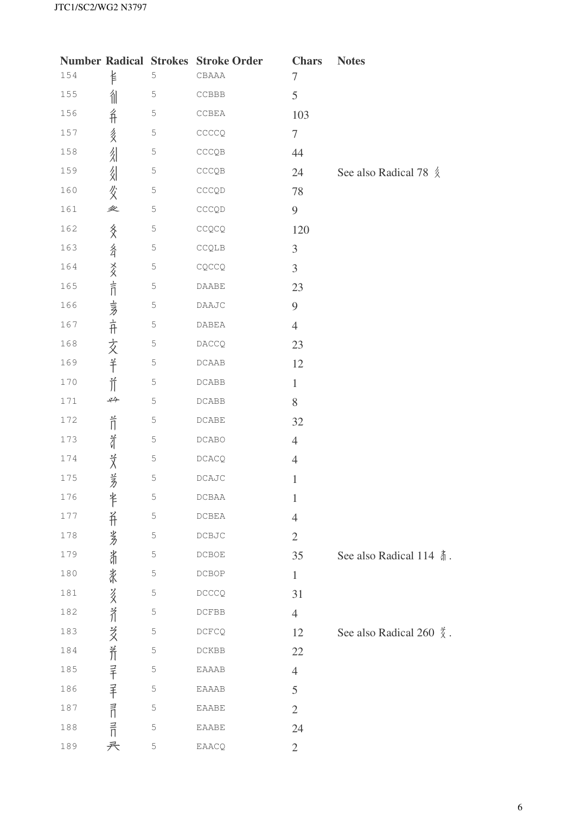|         |                            |             | <b>Number Radical Strokes Stroke Order</b>                  | <b>Chars</b>   | <b>Notes</b>                         |
|---------|----------------------------|-------------|-------------------------------------------------------------|----------------|--------------------------------------|
| 154     | 钅                          | 5           | ${\tt CBAAA}$                                               | $\tau$         |                                      |
| 155     | 徂                          | $\mathbb S$ | $\sc{{\tt CCBBB}}$                                          | 5              |                                      |
| 156     | 彳                          | 5           | CCBEA                                                       | 103            |                                      |
| 157     | 多                          | $\mathbb S$ | CCCCQ                                                       | $\tau$         |                                      |
| 158     | 乣                          | $\mathbb S$ | $\mathsf{CCCQB}% _{\mathsf{CQB}}^{\mathsf{CQ}}(\mathbb{R})$ | 44             |                                      |
| 159     | 乣                          | 5           | $\mathsf{CCCQB}% _{\mathsf{CQB}}^{\mathsf{CQ}}(\mathbb{R})$ | 24             | See also Radical 78 $\frac{2}{3}$    |
| 160     | 父                          | $\mathsf S$ | CCCQD                                                       | 78             |                                      |
| 161     | 坌                          | $\mathbb S$ | $\mathsf{CCCQD}$                                            | $\mathbf{9}$   |                                      |
| 162     |                            | 5           | $\mathbb{C}\mathbb{C}\mathbb{Q}\mathbb{C}\mathbb{Q}$        | 120            |                                      |
| 163     |                            | $\mathbb S$ | $\mathbb{CCQLB}$                                            | 3              |                                      |
| 164     |                            | $\mathbb S$ | $CQCCQ$                                                     | 3              |                                      |
| 165     | 终 纤 爻 言 袁 开 文 羊            | 5           | $\mathtt{DAABE}$                                            | 23             |                                      |
| 166     |                            | $\mathbb S$ | DAAJC                                                       | 9              |                                      |
| 167     |                            | $\mathbb S$ | $\mathtt{DABEA}$                                            | $\overline{4}$ |                                      |
| 168     |                            | 5           | DACCQ                                                       | 23             |                                      |
| 169     |                            | $\mathbb S$ | $\mathop{\rm DCABA}\nolimits$                               | 12             |                                      |
| 170     | $\prod^{\infty}$           | $\mathbb S$ | DCABB                                                       | $\mathbf{1}$   |                                      |
| $1\,71$ | 必                          | $\mathbb 5$ | DCABB                                                       | 8              |                                      |
| 172     | $\overleftrightarrow{\Pi}$ | $\mathbb S$ | $\mathop{\sf DCABE}\nolimits$                               | 32             |                                      |
| 173     | 计                          | $\mathsf S$ | DCABO                                                       | $\overline{4}$ |                                      |
| 174     |                            | $\mathbb S$ | DCACQ                                                       | $\overline{4}$ |                                      |
| 175     | 艾多                         | 5           | $\mathop{\sf DCAJC}\nolimits$                               | $\mathbf{1}$   |                                      |
| 176     | 半                          | 5           | DCBAA                                                       | $\mathbf{1}$   |                                      |
| 177     |                            | 5           | DCBEA                                                       | $\overline{4}$ |                                      |
| 178     |                            | 5           | DCBJC                                                       | $\overline{2}$ |                                      |
| 179     |                            | 5           | DCBOE                                                       | 35             | See also Radical 114 赤.              |
| 180     |                            | 5           | DCBOP                                                       | $\mathbf{1}$   |                                      |
| 181     |                            | 5           | DCCCQ                                                       | 31             |                                      |
| 182     |                            | 5           | DCFBB                                                       | $\overline{4}$ |                                      |
| 183     |                            | 5           | DCFCQ                                                       | 12             | See also Radical 260 $\frac{3}{2}$ . |
| 184     |                            | 5           | DCKBB                                                       | 22             |                                      |
| 185     |                            | 5           | EAAAB                                                       | $\overline{4}$ |                                      |
| 186     |                            | 5           | <b>EAAAB</b>                                                | $\overline{5}$ |                                      |
| 187     |                            | 5           | EAABE                                                       | $\overline{2}$ |                                      |
| 188     | 并劣浙张多矛受养羊羊司言               | 5           | EAABE                                                       | 24             |                                      |
| 189     | 兲                          | 5           | EAACQ                                                       | $\mathbf{2}$   |                                      |
|         |                            |             |                                                             |                |                                      |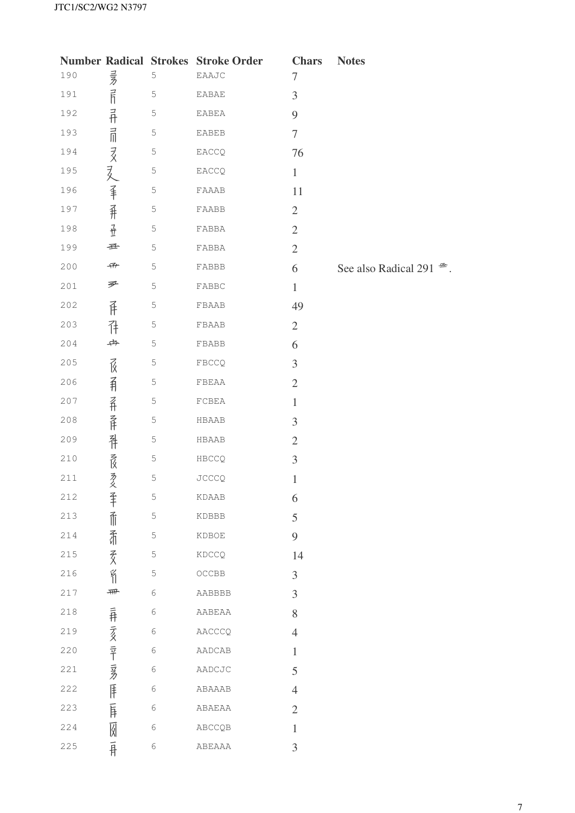|       |                  |             | <b>Number Radical Strokes Stroke Order</b> | <b>Chars</b>     | <b>Notes</b>                      |
|-------|------------------|-------------|--------------------------------------------|------------------|-----------------------------------|
| 190   |                  | 5           | EAAJC                                      | 7                |                                   |
| 191   | 1118年11月11日又2人手升 | $\mathsf S$ | EABAE                                      | $\mathfrak{Z}$   |                                   |
| 192   |                  | 5           | EABEA                                      | 9                |                                   |
| 193   |                  | 5           | <b>EABEB</b>                               | $\boldsymbol{7}$ |                                   |
| 194   |                  | $\mathsf S$ | EACCQ                                      | 76               |                                   |
| 195   |                  | 5           | EACCQ                                      | $\mathbf{1}$     |                                   |
| 196   |                  | 5           | FAAAB                                      | 11               |                                   |
| 197   |                  | $\mathbb 5$ | FAABB                                      | $\mathbf{2}$     |                                   |
| 198   | $\frac{1}{2}$    | 5           | ${\tt FABBA}$                              | $\mathbf{2}$     |                                   |
| 199   | 垂                | $\mathsf S$ | FABBA                                      | $\overline{2}$   |                                   |
| 200   | 冊                | $\mathbb S$ | FABBB                                      | 6                | See also Radical 291 $\text{m}$ . |
| 201   | 严                | $\mathbb S$ | FABBC                                      | $\,1\,$          |                                   |
| 202   | 斥                | 5           | FBAAB                                      | 49               |                                   |
| 203   | 邗                | $\mathbb 5$ | FBAAB                                      | $\mathbf{2}$     |                                   |
| 204   | 冉                | $\mathsf S$ | FBABB                                      | 6                |                                   |
| $205$ | 虿                | 5           | FBCCQ                                      | 3                |                                   |
| 206   |                  | 5           | FBEAA                                      | $\mathbf{2}$     |                                   |
| 207   |                  | 5           | ${\tt FCBEA}$                              | $\mathbf{1}$     |                                   |
| 208   | 有杂作补资多           | $\mathbb S$ | HBAAB                                      | 3                |                                   |
| 209   |                  | 5           | HBAAB                                      | $\sqrt{2}$       |                                   |
| $210$ |                  | 5           | HBCCQ                                      | $\mathfrak{Z}$   |                                   |
| 211   |                  | 5           | JCCCQ                                      | $\mathbf{1}$     |                                   |
| 212   | 手                | 5           | KDAAB                                      | 6                |                                   |
| 213   | 而                | $\mathbb S$ | KDBBB                                      | 5                |                                   |
| 214   | 看                | $\mathsf S$ | KDBOE                                      | 9                |                                   |
| 215   | 叐                | $\mathsf S$ | KDCCQ                                      | 14               |                                   |
| 216   | $\n   \n$        | $\mathbb S$ | $OCCBB$                                    | $\overline{3}$   |                                   |
| $217$ | 冊                | 6           | AABBBB                                     | $\overline{3}$   |                                   |
| 218   |                  | 6           | AABEAA                                     | 8                |                                   |
| 219   |                  | 6           | AACCCQ                                     | $\overline{4}$   |                                   |
| 220   |                  | $\epsilon$  | AADCAB                                     | $\mathbf{1}$     |                                   |
| 221   |                  | $\epsilon$  | AADCJC                                     | 5                |                                   |
| 222   |                  | 6           | ABAAAB                                     | $\overline{4}$   |                                   |
| 223   | 弄烫辛萝萨            | $\epsilon$  | ABAEAA                                     | $\overline{2}$   |                                   |
| 224   |                  | $\epsilon$  | ABCCQB                                     | $\mathbf{1}$     |                                   |
| 225   | 团耳               | 6           | ABEAAA                                     | 3                |                                   |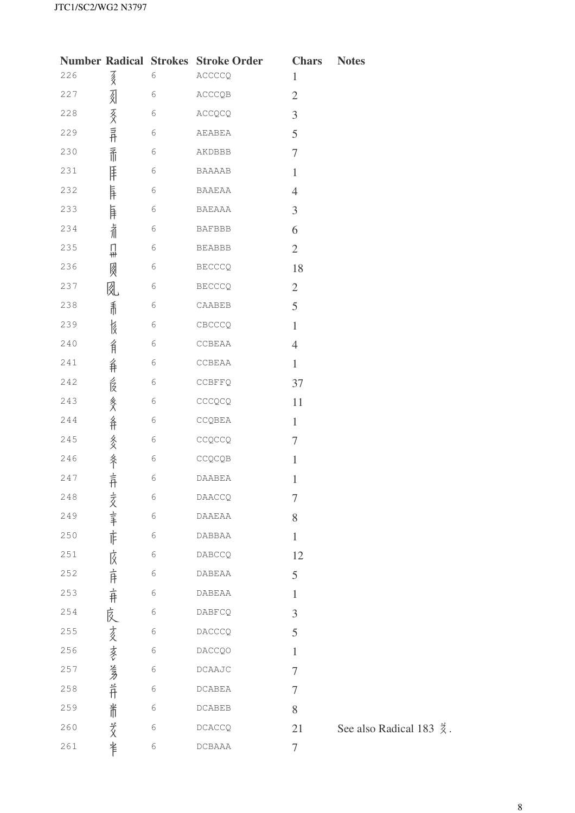|     |                             |            | <b>Number Radical Strokes Stroke Order</b>    | <b>Chars</b>     | <b>Notes</b> |
|-----|-----------------------------|------------|-----------------------------------------------|------------------|--------------|
| 226 | 歹                           | 6          | ACCCCQ                                        | $\mathbf{1}$     |              |
| 227 |                             | 6          | ACCCQB                                        | $\mathfrak{2}$   |              |
| 228 |                             | 6          | ACCQCQ                                        | 3                |              |
| 229 | 刻亥异                         | 6          | AEABEA                                        | 5                |              |
| 230 | 孟                           | 6          | AKDBBB                                        | $\tau$           |              |
| 231 | 厓                           | 6          | <b>BAAAAB</b>                                 | $\mathbf{1}$     |              |
| 232 | 肓                           | 6          | BAAEAA                                        | $\overline{4}$   |              |
| 233 | 匡                           | 6          | BAEAAA                                        | 3                |              |
| 234 | 着                           | 6          | <b>BAFBBB</b>                                 | 6                |              |
| 235 | П<br>₩                      | 6          | <b>BEABBB</b>                                 | $\overline{2}$   |              |
| 236 | 図                           | 6          | <b>BECCCQ</b>                                 | 18               |              |
| 237 | 囱                           | 6          | <b>BECCCQ</b>                                 | $\sqrt{2}$       |              |
| 238 | 乕                           | 6          | CAABEB                                        | 5                |              |
| 239 | 侵                           | 6          | CBCCCQ                                        | $\mathbf{1}$     |              |
| 240 | 育                           | 6          | CCBEAA                                        | $\overline{4}$   |              |
| 241 | 弁                           | 6          | CCBEAA                                        | $\mathbf{1}$     |              |
| 242 | 食                           | 6          | CCBFFQ                                        | 37               |              |
| 243 |                             | 6          | CCCQCQ                                        | 11               |              |
| 244 |                             | 6          | CCQBEA                                        | $\mathbf{1}$     |              |
| 245 |                             | 6          | CCQCCQ                                        | $\tau$           |              |
| 246 |                             | 6          | CCQCQB                                        | $\mathbf{1}$     |              |
| 247 | 终 条 多 条                     | $\sqrt{6}$ | DAABEA                                        | $\mathbf{1}$     |              |
| 248 |                             | 6          | DAACCQ                                        | $\tau$           |              |
| 249 |                             | 6          | DAAEAA                                        | 8                |              |
| 250 | 亥韦市                         | 6          | DABBAA                                        | $\mathbf{1}$     |              |
| 251 | 庅                           | 6          | DABCCQ                                        | 12               |              |
| 252 |                             | 6          | <b>DABEAA</b>                                 | 5                |              |
| 253 |                             | 6          | DABEAA                                        | $\mathbf{1}$     |              |
| 254 |                             | 6          | DABFCQ                                        | 3                |              |
| 255 |                             | 6          | DACCCQ                                        | 5                |              |
| 256 |                             | 6          | <b>DACCQO</b>                                 | $\mathbf{1}$     |              |
| 257 |                             | 6          | DCAAJC                                        | $\tau$           |              |
| 258 | · 市 · 市 · 良 · 亥 · 参 · 考 · 并 | 6          | DCABEA                                        | $\tau$           |              |
| 259 | 耑                           | 6          | $\begin{array}{ll} \text{DCABEB} \end{array}$ | 8                |              |
| 260 | 爻                           | 6          | <b>DCACCQ</b>                                 | 21               | See also     |
| 261 | 半                           | 6          | DCBAAA                                        | $\boldsymbol{7}$ |              |

Radical 183  $\frac{3}{2}$ .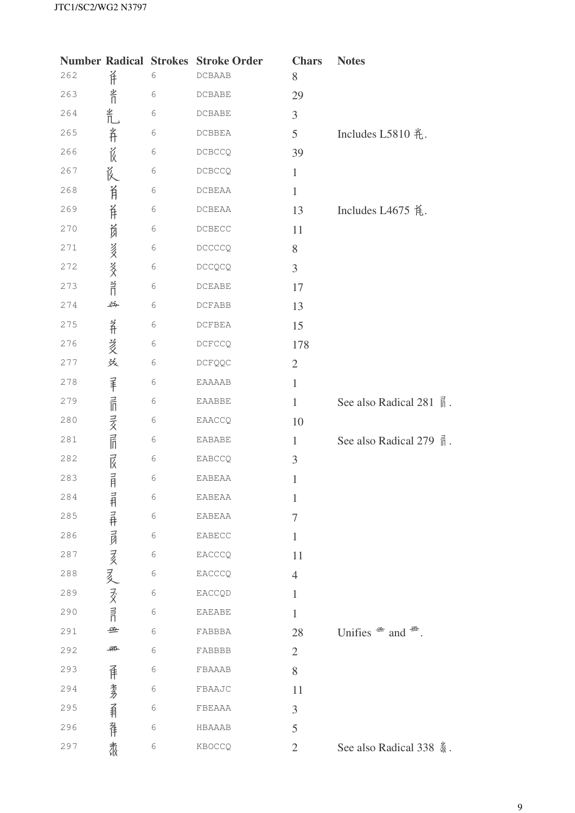|     |              |            | <b>Number Radical Strokes Stroke Order</b> | <b>Chars</b>   | <b>Notes</b>                              |
|-----|--------------|------------|--------------------------------------------|----------------|-------------------------------------------|
| 262 | 羊            | $\epsilon$ | DCBAAB                                     | 8              |                                           |
| 263 | 半门           | $\sqrt{6}$ | DCBABE                                     | 29             |                                           |
| 264 | 扎            | $\sqrt{6}$ | DCBABE                                     | 3              |                                           |
| 265 |              | 6          | DCBBEA                                     | 5              | Includes L5810 <i>毛</i> .                 |
| 266 | 并设           | $\sqrt{6}$ | DCBCCQ                                     | 39             |                                           |
| 267 | 氐            | $\sqrt{6}$ | DCBCCQ                                     | $\mathbf{1}$   |                                           |
| 268 | 肖            | 6          | DCBEAA                                     | $\mathbf{1}$   |                                           |
| 269 | 羊            | $\epsilon$ | DCBEAA                                     | 13             | Includes L4675 凭.                         |
| 270 |              | $\sqrt{6}$ | $\texttt{DCBECC}$                          | 11             |                                           |
| 271 | <b>询 多多許</b> | $\sqrt{6}$ | DCCCCQ                                     | $8\,$          |                                           |
| 272 |              | $\sqrt{6}$ | <b>DCCQCQ</b>                              | $\overline{3}$ |                                           |
| 273 |              | $\sqrt{6}$ | DCEABE                                     | 17             |                                           |
| 274 | 苧            | 6          | DCFABB                                     | 13             |                                           |
| 275 |              | 6          | DCFBEA                                     | 15             |                                           |
| 276 | 并沒沒          | 6          | DCECCQ                                     | 178            |                                           |
| 277 |              | 6          | <b>DCFQQC</b>                              | $\overline{2}$ |                                           |
| 278 |              | $\sqrt{6}$ | EAAAAB                                     | $\mathbf{1}$   |                                           |
| 279 |              | $\epsilon$ | EAABBE                                     | $\mathbf{1}$   | See also Radical 281 nm                   |
| 280 |              | 6          | EAACCQ                                     | 10             |                                           |
| 281 |              | $\sqrt{6}$ | <b>EABABE</b>                              | $\mathbf{1}$   | See also Radical 279 m.                   |
| 282 |              | 6          | EABCCQ                                     | 3              |                                           |
| 283 | 罪品亥品及        | $\epsilon$ | <b>EABEAA</b>                              | $\mathbf{1}$   |                                           |
| 284 |              | 6          | EABEAA                                     | $\mathbf{1}$   |                                           |
| 285 |              | $\epsilon$ | EABEAA                                     | $\tau$         |                                           |
| 286 | 非非男亥麦文許      | 6          | EABECC                                     | $\mathbf{1}$   |                                           |
| 287 |              | 6          | EACCCQ                                     | 11             |                                           |
| 288 |              | 6          | EACCCQ                                     | $\overline{4}$ |                                           |
| 289 |              | 6          | EACCQD                                     | $\mathbf{1}$   |                                           |
| 290 |              | 6          | <b>EAEABE</b>                              | $\mathbf{1}$   |                                           |
| 291 | 垂            | 6          | FABBBA                                     | 28             | Unifies $\mathscr{F}$ and $\mathscr{F}$ . |
| 292 | 椰            | 6          | FABBBB                                     | $\mathfrak{2}$ |                                           |
| 293 | 佯            | 6          | FBAAAB                                     | 8              |                                           |
| 294 |              | 6          | FBAAJC                                     | 11             |                                           |
| 295 |              | 6          | FBEAAA                                     | 3              |                                           |
| 296 | 考引 非         | 6          | HBAAAB                                     | 5              |                                           |
| 297 | 肃            | 6          | KBOCCQ                                     | $\overline{2}$ | See also Radical 338 载.                   |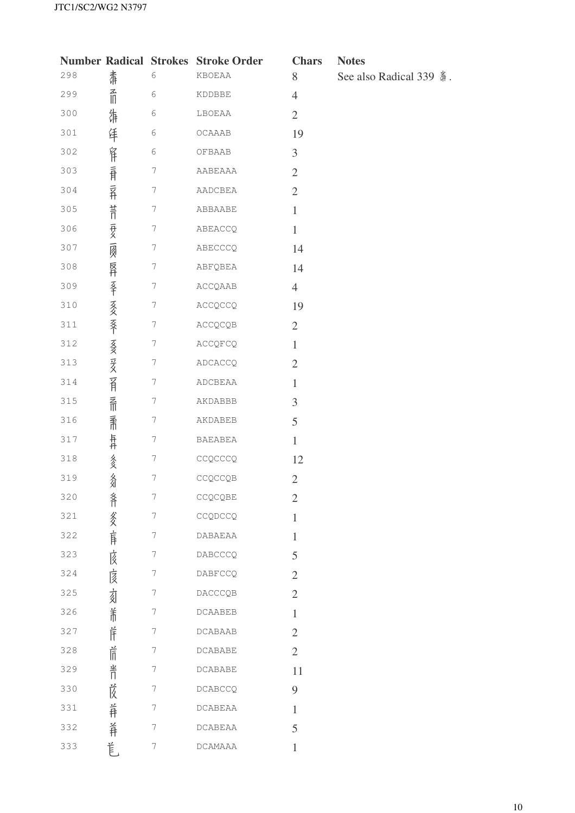|     |             |                  | <b>Number Radical Strokes Stroke Order</b> | <b>Cl</b>      |
|-----|-------------|------------------|--------------------------------------------|----------------|
| 298 | 肃           | 6                | KBOEAA                                     | 8              |
| 299 | 孟           | 6                | KDDBBE                                     | $\overline{4}$ |
| 300 | 纬           | 6                | LBOEAA                                     | $\mathbf{2}$   |
| 301 | 佯           | 6                | OCAAAB                                     | 19             |
| 302 | 窜           | 6                | OFBAAB                                     | 3              |
| 303 |             | 7                | AABEAAA                                    | 2              |
| 304 | 有 异         | 7                | AADCBEA                                    | $\overline{2}$ |
| 305 |             | 7                | ABBAABE                                    | $\mathbf{1}$   |
| 306 |             | 7                | ABEACCQ                                    | $\mathbf{1}$   |
| 307 | <b>昔日最扇</b> | 7                | ABECCCQ                                    | 14             |
| 308 | 反升          | 7                | ABFQBEA                                    | 14             |
| 309 |             | 7                | ACCQAAB                                    | 4              |
| 310 | 圣书友文文学友文学文  | $\boldsymbol{7}$ | ACCQCCQ                                    | 19             |
| 311 |             | 7                | ACCQCQB                                    | $\overline{2}$ |
| 312 |             | 7                | ACCQFCQ                                    | $\mathbf{1}$   |
| 313 |             | $\boldsymbol{7}$ | ADCACCQ                                    | $\overline{2}$ |
| 314 | 育           | 7                | ADCBEAA                                    | 1              |
| 315 | 孟           | 7                | AKDABBB                                    | 3              |
| 316 | 柔           | 7                | AKDABEB                                    | 5              |
| 317 | 异丹          | 7                | <b>BAEABEA</b>                             | 1              |
| 318 | 多爻          | 7                | CCQCCCQ                                    | 12             |
| 319 | 名           | 7                | CCQCCQB                                    | 2              |
| 320 | 斧           | 7                | CCQCQBE                                    | $\overline{2}$ |
| 321 | 爹           | 7                | CCQDCCQ                                    | 1              |
| 322 | 肓           | 7                | <b>DABAEAA</b>                             | $\mathbf{1}$   |
| 323 | 该           | 7                | DABCCCQ                                    | 5              |
| 324 | 扅           | 7                | DABFCCQ                                    | $\overline{2}$ |
| 325 | 刻           | 7                | DACCCQB                                    | $\overline{2}$ |
| 326 | 羊           | 7                | <b>DCAABEB</b>                             | $\mathbf{1}$   |
| 327 | Ĕ           | 7                | <b>DCABAAB</b>                             | $\overline{2}$ |
| 328 | 后           | 7                | <b>DCABABE</b>                             | $\mathbf{2}$   |
| 329 | 半∏          | 7                | DCABABE                                    | 11             |
| 330 | 峎           | 7                | <b>DCABCCQ</b>                             | 9              |
| 331 | 羊           | 7                | DCABEAA                                    | 1              |
| 332 | 羊           | 7                | <b>DCABEAA</b>                             | 5              |
| 333 | 苣           | 7                | DCAMAAA                                    | 1              |

**Chars** Notes

See also Radical 339 <sup>3</sup>.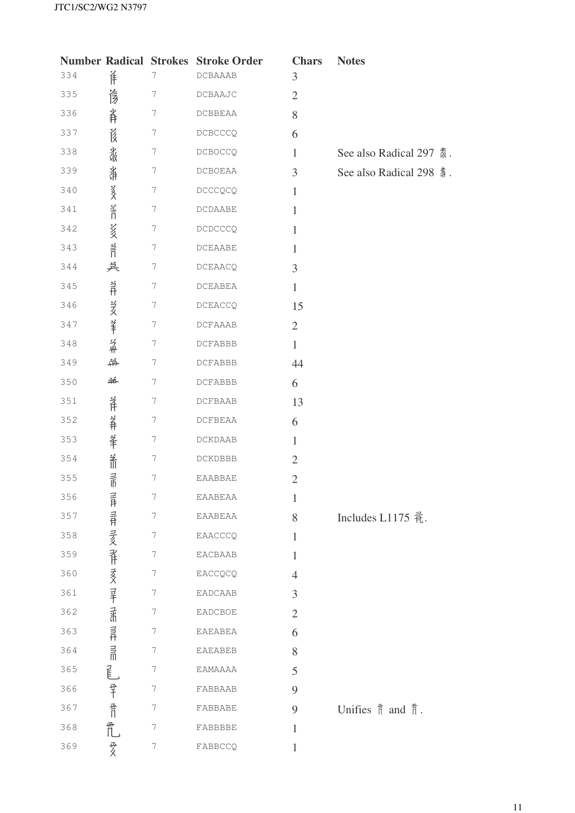| <b>Number Radical Strokes</b> |                    |                  | <b>Stroke Order</b> | <b>Chars</b>   | <b>Notes</b>                                |
|-------------------------------|--------------------|------------------|---------------------|----------------|---------------------------------------------|
| 334                           | 佯                  | 7                | <b>DCBAAAB</b>      | 3              |                                             |
| 335                           | 彦                  | 7                | DCBAAJC             | $\mathbf{2}$   |                                             |
| 336                           | 羊                  | 7                | DCBBEAA             | 8              |                                             |
| 337                           | 莨                  | 7                | DCBCCCQ             | 6              |                                             |
| 338                           | 禒                  | 7                | <b>DCBOCCQ</b>      | $\mathbf{1}$   | See also Radical 297 纛.                     |
| 339                           | 漭                  | 7                | DCBOEAA             | 3              | See also Radical 298 4.                     |
| 340                           |                    | 7                | DCCCQCQ             | $\mathbf{1}$   |                                             |
| 341                           | <b>篆文 圣日</b>       | 7                | DCDAABE             | $\mathbf{1}$   |                                             |
| 342                           |                    | 7                | DCDCCCQ             | 1              |                                             |
| 343                           | 3多 31              | 7                | DCEAABE             | 1              |                                             |
| 344                           | 关                  | 7                | DCEAACQ             | 3              |                                             |
| 345                           | 兰丹                 | 7                | $\verb DCEABEA $    | $\mathbf{1}$   |                                             |
| 346                           |                    | 7                | DCEACCQ             | 15             |                                             |
| 347                           | 沒筆杀                | 7                | <b>DCFAAAB</b>      | $\overline{2}$ |                                             |
| 348                           |                    | 7                | DCFABBB             | $\mathbf{1}$   |                                             |
| 349                           | 并                  | 7                | DCFABBB             | 44             |                                             |
| 350                           | 羊                  | 7                | DCFABBB             | 6              |                                             |
| 351                           | 羊                  | 7                | DCFBAAB             | 13             |                                             |
| 352                           | 羊                  | 7                | DCFBEAA             | 6              |                                             |
| 353                           |                    | 7                | DCKDAAB             | $\mathbf{1}$   |                                             |
| 354                           | 羊 希                | 7                | DCKDBBB             | $\overline{2}$ |                                             |
| 355                           | 言                  | $\boldsymbol{7}$ | EAABBAE             | $\mathbf{2}$   |                                             |
| 356                           |                    | 7                | EAABEAA             | $\mathbf{1}$   |                                             |
| 357                           |                    | 7                | EAABEAA             | 8              | Includes L1175 氧.                           |
| 358                           | 兰井兰井兰多米卡麦多兰半岛 当开兰州 | 7                | EAACCCQ             | 1              |                                             |
| 359                           |                    | 7                | EACBAAB             | 1              |                                             |
| 360                           |                    | 7                | EACCQCQ             | $\overline{4}$ |                                             |
| 361                           |                    | 7                | EADCAAB             | 3              |                                             |
| 362                           |                    | 7                | EADCBOE             | $\mathfrak{2}$ |                                             |
| 363                           |                    | 7                | EAEABEA             | 6              |                                             |
| 364                           |                    | 7                | EAEABEB             | 8              |                                             |
| 365                           |                    | 7                | EAMAAAA             | 5              |                                             |
| 366                           | 尾 翠 骨              | 7                | FABBAAB             | 9              |                                             |
| 367                           |                    | 7                | FABBABE             | 9              | Unifies $\frac{4}{11}$ and $\frac{4}{11}$ . |
| 368                           |                    | 7                | FABBBBE             | $\mathbf{1}$   |                                             |
| 369                           | 爱                  | 7                | FABBCCQ             | $\mathbf{1}$   |                                             |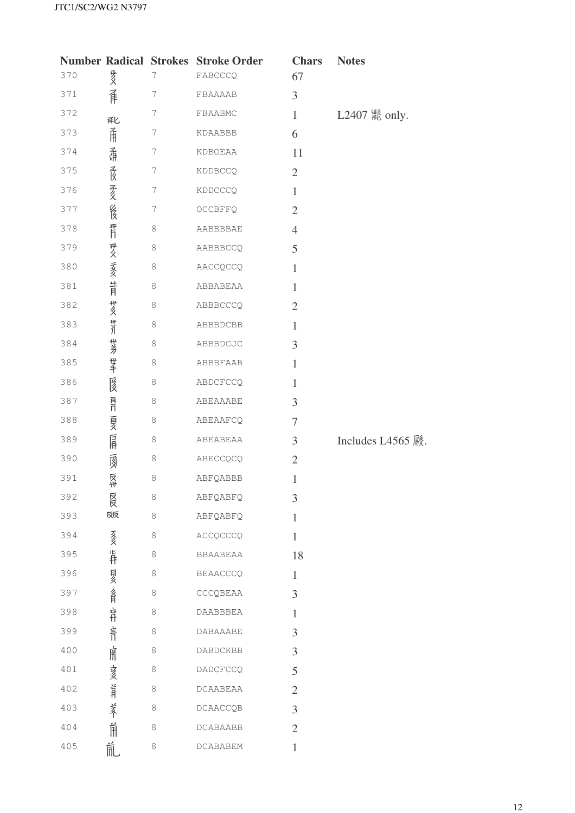|     |            |         | <b>Number Radical Strokes Stroke Order</b> | <b>Chars</b>   | <b>Notes</b>      |
|-----|------------|---------|--------------------------------------------|----------------|-------------------|
| 370 | 亥          | 7       | FABCCCQ                                    | 67             |                   |
| 371 | 庠          | 7       | FBAAAAB                                    | 3              |                   |
| 372 | <b>译匕</b>  | 7       | FBAABMC                                    | $\mathbf{1}$   | L2407 鬣 only.     |
| 373 | 甬          | 7       | KDAABBB                                    | 6              |                   |
| 374 | 磊          | 7       | KDBOEAA                                    | 11             |                   |
| 375 |            | 7       | KDDBCCQ                                    | $\overline{2}$ |                   |
| 376 | 薇爱         | 7       | KDDCCCQ                                    | $\mathbf{1}$   |                   |
| 377 | 崑          | 7       | OCCBFFQ                                    | $\overline{2}$ |                   |
| 378 | 晋          | 8       | AABBBBAE                                   | $\overline{4}$ |                   |
| 379 |            | $\,8\,$ | AABBBCCQ                                   | 5              |                   |
| 380 | 开义 云爻      | 8       | AACCQCCQ                                   | $\mathbf{1}$   |                   |
| 381 | 节          | 8       | ABBABEAA                                   | $\mathbf{1}$   |                   |
| 382 | #亥         | $\,8\,$ | ABBBCCCQ                                   | $\overline{2}$ |                   |
| 383 | <b>\//</b> | 8       | ABBBDCBB                                   | $\mathbf{1}$   |                   |
| 384 | 世乡         | 8       | ABBBDCJC                                   | 3              |                   |
| 385 | 掌          | 8       | ABBBFAAB                                   | $\mathbf{1}$   |                   |
| 386 | 匽          | 8       | ABDCFCCQ                                   | $\mathbf{1}$   |                   |
| 387 | 目          | $\,8\,$ | ABEAAABE                                   | 3              |                   |
| 388 | 頁          | 8       | ABEAAFCQ                                   | 7              |                   |
| 389 | 屌          | 8       | ABEABEAA                                   | $\mathfrak{Z}$ | Includes L4565 殿. |
| 390 | 圆          | 8       | ABECCQCQ                                   | $\mathfrak{2}$ |                   |
| 391 | 反卅         | $\,8\,$ | ABFQABBB                                   | $\mathbf{1}$   |                   |
| 392 | 反反         | 8       | ABFQABFQ                                   | 3              |                   |
| 393 | 反反         | 8       | ABFQABFQ                                   | $\mathbf{1}$   |                   |
| 394 | 亥          | 8       | ACCQCCCQ                                   | $\mathbf{1}$   |                   |
| 395 | 异          | 8       | BBAABEAA                                   | 18             |                   |
| 396 | 夏          | 8       | <b>BEAACCCQ</b>                            | $\mathbf{1}$   |                   |
| 397 | 各月         | 8       | CCCQBEAA                                   | 3              |                   |
| 398 | 并          | 8       | <b>DAABBBEA</b>                            | $\mathbf{1}$   |                   |
| 399 | 青          | 8       | DABAAABE                                   | 3              |                   |
| 400 | 席          | 8       | DABDCKBB                                   | 3              |                   |
| 401 |            | 8       | DADCFCCQ                                   | 5              |                   |
| 402 | <b>参照</b>  | 8       | DCAABEAA                                   | $\overline{2}$ |                   |
| 403 |            | 8       | DCAACCQB                                   | 3              |                   |
| 404 | 养诵         | 8       | DCABAABB                                   | $\mathfrak{2}$ |                   |
| 405 | 氚          | 8       | DCABABEM                                   | $\,1\,$        |                   |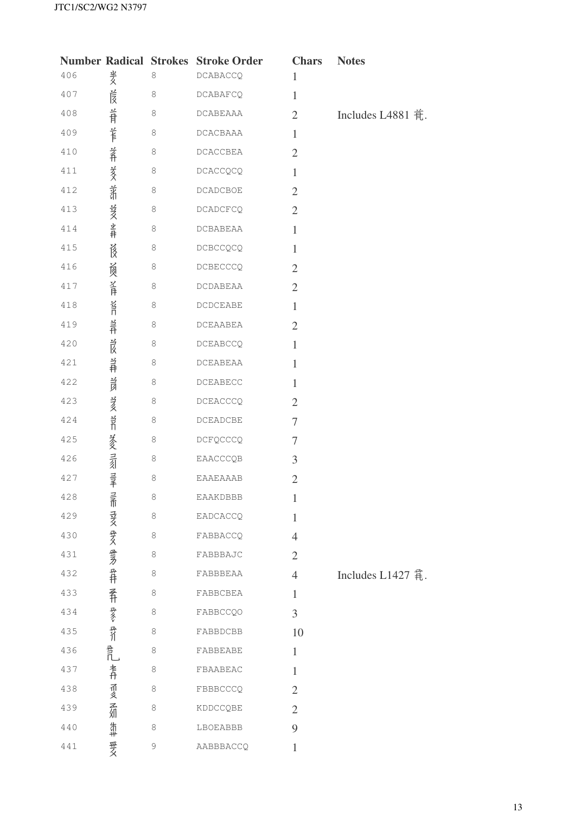|     |                |         | <b>Number Radical Strokes Stroke Order</b>        | <b>Chars</b>   | <b>Notes</b>      |
|-----|----------------|---------|---------------------------------------------------|----------------|-------------------|
| 406 | 羑              | $\,8\,$ | DCABACCQ                                          | $\mathbf{1}$   |                   |
| 407 | 峎              | $\,8\,$ | <b>DCABAFCQ</b>                                   | $\mathbf{1}$   |                   |
| 408 | 旨              | 8       | <b>DCABEAAA</b>                                   | $\overline{2}$ | Includes L4881 肴. |
| 409 | 羊              | 8       | DCACBAAA                                          | $\mathbf{1}$   |                   |
| 410 | 养              | $\,8\,$ | $\verb DCACCBERA $                                | $\overline{2}$ |                   |
| 411 | 荄              | 8       | DCACCQCQ                                          | $\mathbf{1}$   |                   |
| 412 | 着              | 8       | <b>DCADCBOE</b>                                   | $\overline{2}$ |                   |
| 413 | <b>姜叉 坐井</b>   | 8       | <b>DCADCFCQ</b>                                   | $\overline{2}$ |                   |
| 414 |                | $\,8\,$ | DCBABEAA                                          | $\mathbf{1}$   |                   |
| 415 | 遂              | 8       | DCBCCQCQ                                          | $\mathbf{1}$   |                   |
| 416 | 负              | 8       | DCBECCCQ                                          | $\mathfrak{2}$ |                   |
| 417 | 圣月             | $\,8\,$ | <b>DCDABEAA</b>                                   | $\overline{2}$ |                   |
| 418 | 首              | 8       | <b>DCDCEABE</b>                                   | $\mathbf{1}$   |                   |
| 419 | 兰开             | 8       | DCEAABEA                                          | $\overline{2}$ |                   |
| 420 | 旨              | $\,8\,$ | <b>DCEABCCQ</b>                                   | $\mathbf{1}$   |                   |
| 421 | 羊              | 8       | DCEABEAA                                          | $\mathbf{1}$   |                   |
| 422 | 旨              | 8       | $\begin{array}{ll} \texttt{DCEABECC} \end{array}$ | $\mathbf{1}$   |                   |
| 423 |                | $\,8\,$ | DCEACCCQ                                          | $\overline{2}$ |                   |
| 424 | 美久 当           | 8       | DCEADCBE                                          | $\tau$         |                   |
| 425 |                | 8       | DCFQCCCQ                                          | $\tau$         |                   |
| 426 | 炎灵灵            | 8       | EAACCCQB                                          | 3              |                   |
| 427 |                | $\,8\,$ | EAAEAAAB                                          | $\mathfrak{2}$ |                   |
| 428 |                | 8       | EAAKDBBB                                          | $\mathbf{1}$   |                   |
| 429 |                | 8       | EADCACCQ                                          | $\mathbf{1}$   |                   |
| 430 |                | 8       | FABBACCQ                                          | $\overline{4}$ |                   |
| 431 | 三而 寻文 耍义 垂矛 爭井 | 8       | FABBBAJC                                          | $\overline{2}$ |                   |
| 432 |                | 8       | FABBBEAA                                          | $\overline{4}$ | Includes L1427    |
| 433 |                | 8       | FABBCBEA                                          | $\mathbf{1}$   |                   |
| 434 | 番赞奇血           | 8       | <b>FABBCCQO</b>                                   | 3              |                   |
| 435 |                | 8       | FABBDCBB                                          | 10             |                   |
| 436 |                | 8       | FABBEABE                                          | $\mathbf{1}$   |                   |
| 437 | 青              | 8       | FBAABEAC                                          | $\mathbf{1}$   |                   |
| 438 |                | 8       | FBBBCCCQ                                          | $\overline{2}$ |                   |
| 439 | 而多不如           | 8       | KDDCCQBE                                          | $\overline{2}$ |                   |
| 440 | 饰#             | 8       | LBOEABBB                                          | 9              |                   |
| 441 | 要女             | 9       | AABBBACCQ                                         | $\mathbf{1}$   |                   |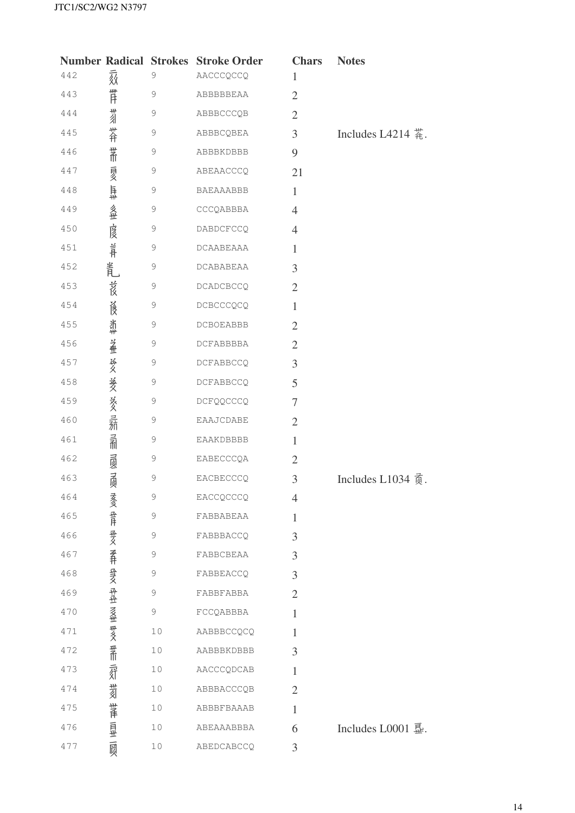|     |                         |               | <b>Number Radical Strokes Stroke Order</b> | <b>Chars</b>   | <b>Notes</b>                                |
|-----|-------------------------|---------------|--------------------------------------------|----------------|---------------------------------------------|
| 442 | 颏                       | $\mathcal{G}$ | AACCCQCCQ                                  | 1              |                                             |
| 443 | 一件                      | $\mathcal{G}$ | ABBBBBEAA                                  | $\overline{2}$ |                                             |
| 444 | 为                       | 9             | ABBBCCCQB                                  | $\overline{2}$ |                                             |
| 445 | 芥                       | $\mathcal{G}$ | ABBBCQBEA                                  | 3              | Includes L4214 $\ddot{\ddot{\mathbf{a}}}$ . |
| 446 | 業                       | 9             | ABBBKDBBB                                  | 9              |                                             |
| 447 |                         | 9             | ABEAACCCQ                                  | 21             |                                             |
| 448 |                         | $\mathcal{G}$ | BAEAAABBB                                  | $\mathbf{1}$   |                                             |
| 449 | 頁多 耳# 多世                | $\mathcal{G}$ | CCCQABBBA                                  | $\overline{4}$ |                                             |
| 450 | 虔                       | 9             | DABDCFCCQ                                  | $\overline{4}$ |                                             |
| 451 | 旨                       | $\mathcal{G}$ | DCAABEAAA                                  | $\mathbf{1}$   |                                             |
| 452 | 叢                       | 9             | DCABABEAA                                  | 3              |                                             |
| 453 | 莨                       | 9             | <b>DCADCBCCQ</b>                           | $\overline{2}$ |                                             |
| 454 | 遂                       | $\mathcal{G}$ | DCBCCCQCQ                                  | $\mathbf{1}$   |                                             |
| 455 | 翡                       | 9             | <b>DCBOEABBB</b>                           | $\overline{2}$ |                                             |
| 456 | 盖                       | $\mathcal{G}$ | DCFABBBBA                                  | $\overline{2}$ |                                             |
| 457 |                         | 9             | DCFABBCCQ                                  | 3              |                                             |
| 458 |                         | $\mathcal{G}$ | DCFABBCCQ                                  | 5              |                                             |
| 459 |                         | 9             | DCFQQCCCQ                                  | $\tau$         |                                             |
| 460 | 奖 葵 葵 寻                 | $\mathcal{G}$ | EAAJCDABE                                  | $\overline{2}$ |                                             |
| 461 | 孟                       | $\mathcal{G}$ | EAAKDBBBB                                  | $\mathbf{1}$   |                                             |
| 462 |                         | 9             | EABECCCQA                                  | $\overline{2}$ |                                             |
| 463 | 國國                      | $\mathcal{G}$ | EACBECCCQ                                  | 3              | Includes L1034 $\overline{6}$ .             |
| 464 | 亥                       | $\mathcal{G}$ | EACCQCCCQ                                  | $\overline{4}$ |                                             |
| 465 |                         | 9             | FABBABEAA                                  | 1              |                                             |
| 466 |                         | 9             | FABBBACCQ                                  | 3              |                                             |
| 467 |                         | 9             | FABBCBEAA                                  | 3              |                                             |
| 468 |                         | 9             | FABBEACCQ                                  | 3              |                                             |
| 469 |                         | $\mathcal{G}$ | FABBFABBA                                  | $\overline{2}$ |                                             |
| 470 |                         | 9             | FCCQABBBA                                  | $\mathbf{1}$   |                                             |
| 471 |                         | 10            | AABBBCCQCQ                                 | 1              |                                             |
| 472 | 垂月 垂久 要井 登文 丹丑 乏堂 要义 要而 | 10            | AABBBKDBBB                                 | 3              |                                             |
| 473 | 豜                       | 10            | AACCCQDCAB                                 | $\mathbf{1}$   |                                             |
| 474 | 菊                       | 10            | ABBBACCCQB                                 | $\overline{2}$ |                                             |
| 475 |                         | 10            | ABBBFBAAAB                                 | $\mathbf{1}$   |                                             |
| 476 | 講 良 一                   | 10            | ABEAAABBBA                                 | 6              | Includes L0001 显.                           |
| 477 |                         | 10            | ABEDCABCCQ                                 | 3              |                                             |